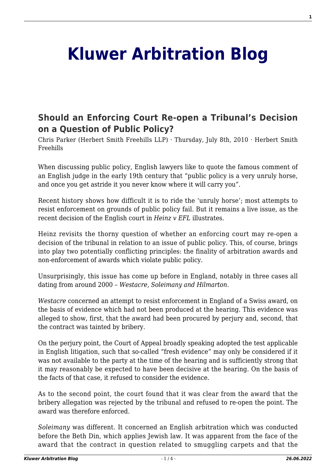## **[Kluwer Arbitration Blog](http://arbitrationblog.kluwerarbitration.com/)**

## **[Should an Enforcing Court Re-open a Tribunal's Decision](http://arbitrationblog.kluwerarbitration.com/2010/07/08/should-an-enforcing-court-re-open-a-tribunals-decision-on-a-question-of-public-policy/) [on a Question of Public Policy?](http://arbitrationblog.kluwerarbitration.com/2010/07/08/should-an-enforcing-court-re-open-a-tribunals-decision-on-a-question-of-public-policy/)**

Chris Parker (Herbert Smith Freehills LLP) · Thursday, July 8th, 2010 · Herbert Smith Freehills

When discussing public policy, English lawyers like to quote the famous comment of an English judge in the early 19th century that "public policy is a very unruly horse, and once you get astride it you never know where it will carry you".

Recent history shows how difficult it is to ride the 'unruly horse'; most attempts to resist enforcement on grounds of public policy fail. But it remains a live issue, as the recent decision of the English court in *Heinz v EFL* illustrates.

Heinz revisits the thorny question of whether an enforcing court may re-open a decision of the tribunal in relation to an issue of public policy. This, of course, brings into play two potentially conflicting principles: the finality of arbitration awards and non-enforcement of awards which violate public policy.

Unsurprisingly, this issue has come up before in England, notably in three cases all dating from around 2000 – *Westacre, Soleimany and Hilmarton*.

*Westacre* concerned an attempt to resist enforcement in England of a Swiss award, on the basis of evidence which had not been produced at the hearing. This evidence was alleged to show, first, that the award had been procured by perjury and, second, that the contract was tainted by bribery.

On the perjury point, the Court of Appeal broadly speaking adopted the test applicable in English litigation, such that so-called "fresh evidence" may only be considered if it was not available to the party at the time of the hearing and is sufficiently strong that it may reasonably be expected to have been decisive at the hearing. On the basis of the facts of that case, it refused to consider the evidence.

As to the second point, the court found that it was clear from the award that the bribery allegation was rejected by the tribunal and refused to re-open the point. The award was therefore enforced.

*Soleimany* was different. It concerned an English arbitration which was conducted before the Beth Din, which applies Jewish law. It was apparent from the face of the award that the contract in question related to smuggling carpets and that the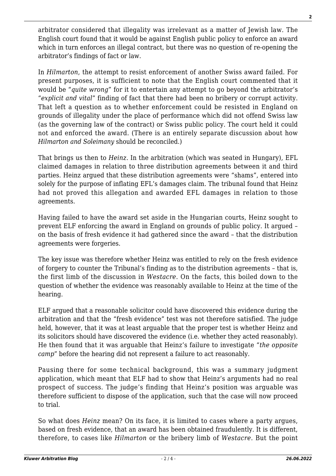arbitrator considered that illegality was irrelevant as a matter of Jewish law. The English court found that it would be against English public policy to enforce an award which in turn enforces an illegal contract, but there was no question of re-opening the arbitrator's findings of fact or law.

In *Hilmarton*, the attempt to resist enforcement of another Swiss award failed. For present purposes, it is sufficient to note that the English court commented that it would be "*quite wrong*" for it to entertain any attempt to go beyond the arbitrator's "*explicit and vital*" finding of fact that there had been no bribery or corrupt activity. That left a question as to whether enforcement could be resisted in England on grounds of illegality under the place of performance which did not offend Swiss law (as the governing law of the contract) or Swiss public policy. The court held it could not and enforced the award. (There is an entirely separate discussion about how *Hilmarton and Soleimany* should be reconciled.)

That brings us then to *Heinz*. In the arbitration (which was seated in Hungary), EFL claimed damages in relation to three distribution agreements between it and third parties. Heinz argued that these distribution agreements were "shams", entered into solely for the purpose of inflating EFL's damages claim. The tribunal found that Heinz had not proved this allegation and awarded EFL damages in relation to those agreements.

Having failed to have the award set aside in the Hungarian courts, Heinz sought to prevent ELF enforcing the award in England on grounds of public policy. It argued – on the basis of fresh evidence it had gathered since the award – that the distribution agreements were forgeries.

The key issue was therefore whether Heinz was entitled to rely on the fresh evidence of forgery to counter the Tribunal's finding as to the distribution agreements – that is, the first limb of the discussion in *Westacre*. On the facts, this boiled down to the question of whether the evidence was reasonably available to Heinz at the time of the hearing.

ELF argued that a reasonable solicitor could have discovered this evidence during the arbitration and that the "fresh evidence" test was not therefore satisfied. The judge held, however, that it was at least arguable that the proper test is whether Heinz and its solicitors should have discovered the evidence (i.e. whether they acted reasonably). He then found that it was arguable that Heinz's failure to investigate "*the opposite camp*" before the hearing did not represent a failure to act reasonably.

Pausing there for some technical background, this was a summary judgment application, which meant that ELF had to show that Heinz's arguments had no real prospect of success. The judge's finding that Heinz's position was arguable was therefore sufficient to dispose of the application, such that the case will now proceed to trial.

So what does *Heinz* mean? On its face, it is limited to cases where a party argues, based on fresh evidence, that an award has been obtained fraudulently. It is different, therefore, to cases like *Hilmarton* or the bribery limb of *Westacre*. But the point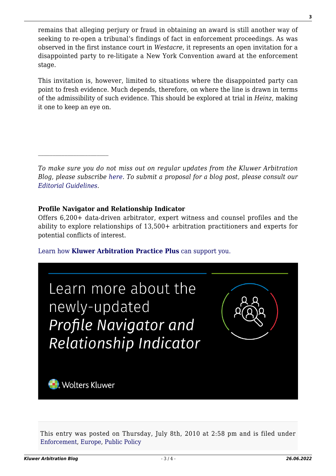remains that alleging perjury or fraud in obtaining an award is still another way of seeking to re-open a tribunal's findings of fact in enforcement proceedings. As was observed in the first instance court in *Westacre*, it represents an open invitation for a disappointed party to re-litigate a New York Convention award at the enforcement stage.

This invitation is, however, limited to situations where the disappointed party can point to fresh evidence. Much depends, therefore, on where the line is drawn in terms of the admissibility of such evidence. This should be explored at trial in *Heinz*, making it one to keep an eye on.

*To make sure you do not miss out on regular updates from the Kluwer Arbitration Blog, please subscribe [here](http://arbitrationblog.kluwerarbitration.com/newsletter/). To submit a proposal for a blog post, please consult our [Editorial Guidelines.](http://arbitrationblog.kluwerarbitration.com/editorial-guidelines/)*

## **Profile Navigator and Relationship Indicator**

Offers 6,200+ data-driven arbitrator, expert witness and counsel profiles and the ability to explore relationships of 13,500+ arbitration practitioners and experts for potential conflicts of interest.

[Learn how](https://www.wolterskluwer.com/en/solutions/kluwerarbitration/practiceplus?utm_source=arbitrationblog&utm_medium=articleCTA&utm_campaign=article-banner) **[Kluwer Arbitration Practice Plus](https://www.wolterskluwer.com/en/solutions/kluwerarbitration/practiceplus?utm_source=arbitrationblog&utm_medium=articleCTA&utm_campaign=article-banner)** [can support you.](https://www.wolterskluwer.com/en/solutions/kluwerarbitration/practiceplus?utm_source=arbitrationblog&utm_medium=articleCTA&utm_campaign=article-banner)



This entry was posted on Thursday, July 8th, 2010 at 2:58 pm and is filed under [Enforcement](http://arbitrationblog.kluwerarbitration.com/category/enforcement/), [Europe](http://arbitrationblog.kluwerarbitration.com/category/europe/), [Public Policy](http://arbitrationblog.kluwerarbitration.com/category/public-policy/)